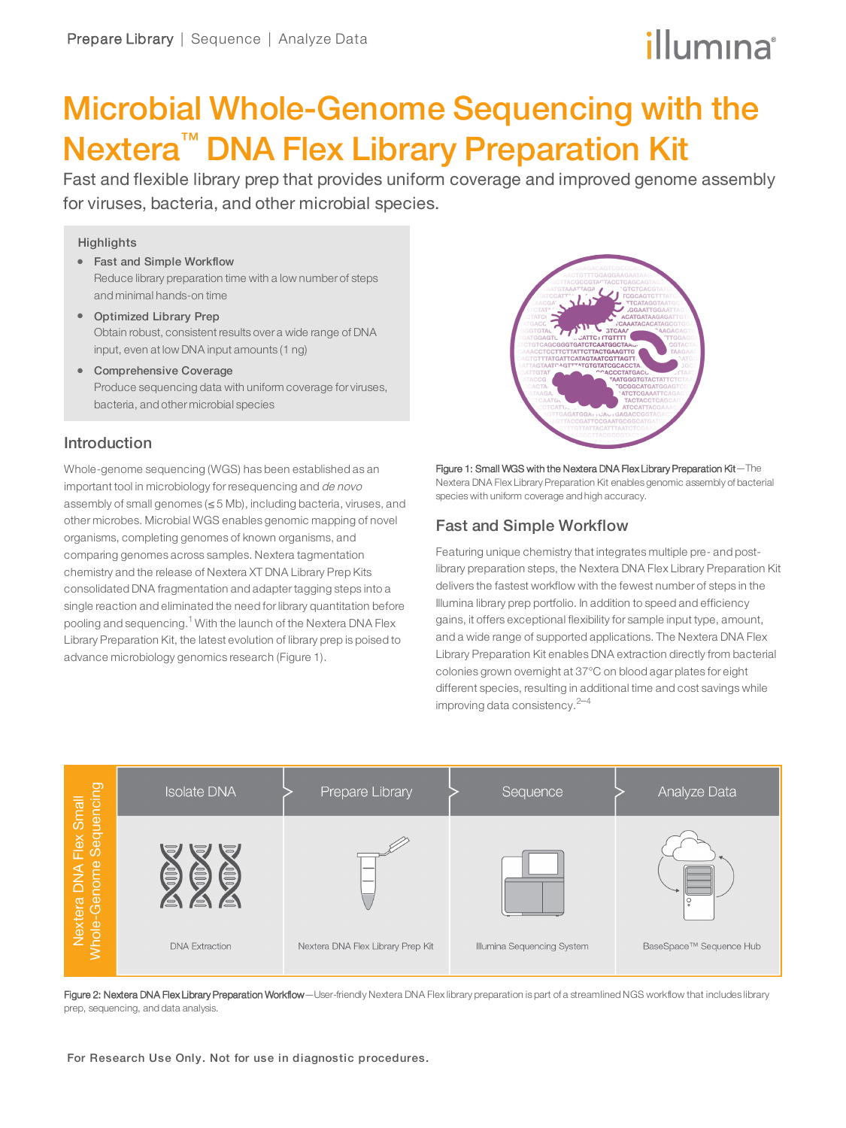# illumına

# Microbial Whole-Genome Sequencing with the Nextera<sup>™</sup> DNA Flex Library Preparation Kit

Fast and flexible library prep that provides uniform coverage and improved genome assembly for viruses, bacteria, and other microbial species.

### **Highlights**

- Fast and Simple Workflow Reduce library preparation time with a low number of steps and minimal hands-on time
- Optimized Library Prep Obtain robust, consistent results over a wide range of DNA input, even at low DNA input amounts (1 ng)
- Comprehensive Coverage Produce sequencing data with uniform coverage for viruses, bacteria, and other microbial species

### Introduction

Whole-genome sequencing (WGS) has been established as an important tool in microbiology for resequencing and de novo assembly of small genomes (≤ 5 Mb), including bacteria, viruses, and other microbes. Microbial WGS enables genomic mapping of novel organisms, completing genomes of known organisms, and comparing genomes across samples. Nextera tagmentation chemistry and the release of Nextera XT DNA Library Prep Kits consolidated DNA fragmentation and adapter tagging steps into a single reaction and eliminated the need for library quantitation before pooling and sequencing.<sup>[1](#page-3-0)</sup> With the launch of the Nextera DNA Flex Library Preparation Kit, the latest evolution of library prep is poised to advance microbiology genomics research (Figure 1).



Figure 1: Small WGS with the Nextera DNA Flex Library Preparation Kit—The Nextera DNA Flex Library Preparation Kit enables genomic assembly of bacterial species with uniform coverage and high accuracy.

### Fast and Simple Workflow

Featuring unique chemistry that integrates multiple pre- and postlibrary preparation steps, the Nextera DNA Flex Library Preparation Kit delivers the fastest workflow with the fewest number of steps in the Illumina library prep portfolio. In addition to speed and efficiency gains, it offers exceptional flexibility for sample input type, amount, and a wide range of supported applications. The Nextera DNA Flex Library Preparation Kit enables DNA extraction directly from bacterial colonies grown overnight at 37°C on blood agar plates for eight different species, resulting in additional time and cost savings while improving data consistency. $2-4$  $2-4$  $2-4$ 



Figure 2: Nextera DNA Flex Library Preparation Workflow-User-friendly Nextera DNA Flex library preparation is part of a streamlined NGS workflow that includes library prep, sequencing, and data analysis.

For Research Use Only. Not for use in diagnostic procedures.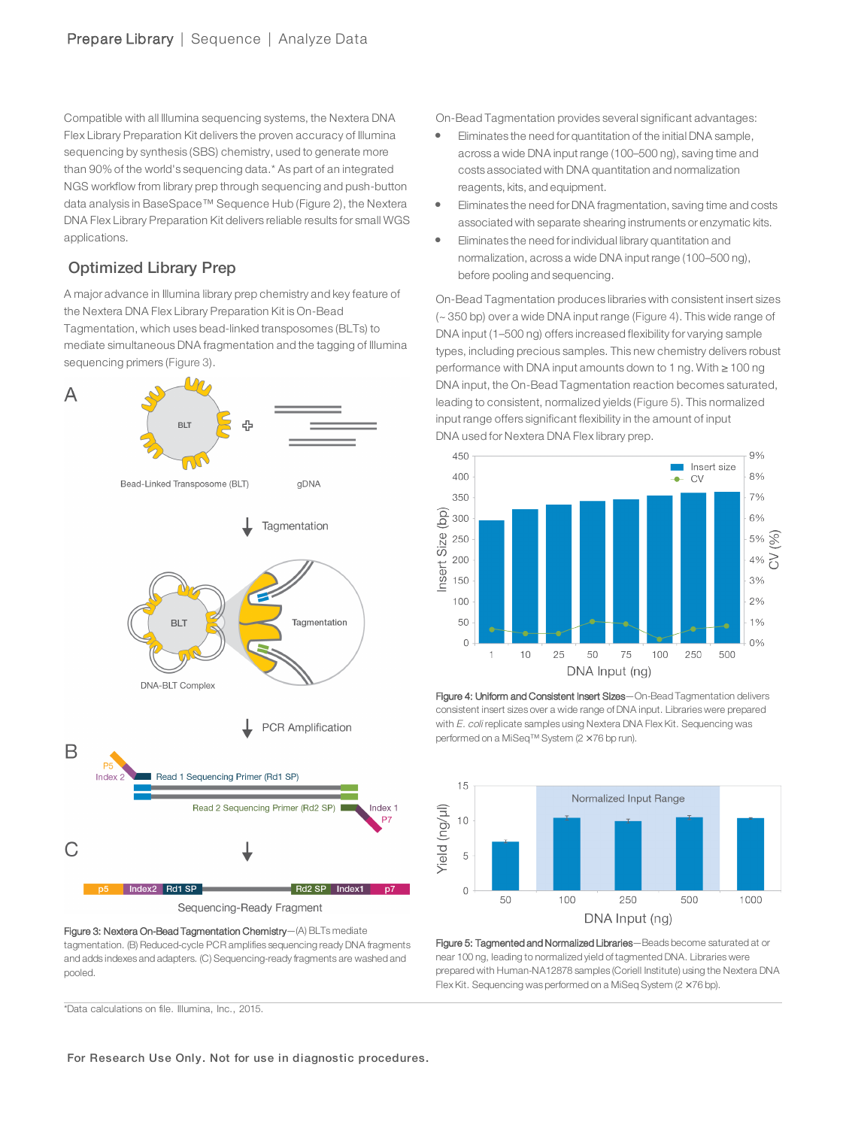Compatible with all Illumina sequencing systems, the Nextera DNA Flex Library Preparation Kit delivers the proven accuracy of Illumina sequencing by synthesis (SBS) chemistry, used to generate more than 90% of the world's sequencing data.\* As part of an integrated NGS workflow from library prep through sequencing and push-button data analysis in BaseSpace™ Sequence Hub (Figure 2), the Nextera DNA Flex Library Preparation Kit delivers reliable results for small WGS applications.

### Optimized Library Prep

A major advance in Illumina library prep chemistry and key feature of the Nextera DNA Flex Library Preparation Kit is On-Bead Tagmentation, which uses bead-linked transposomes (BLTs) to mediate simultaneous DNA fragmentation and the tagging of Illumina sequencing primers [\(Figure 3\)](#page-1-0).



Sequencing-Ready Fragment

<span id="page-1-0"></span>Figure 3: Nextera On-Bead Tagmentation Chemistry—(A) BLTs mediate tagmentation. (B) Reduced-cycle PCR amplifies sequencing ready DNA fragments and adds indexes and adapters. (C) Sequencing-ready fragments are washed and pooled.

On-Bead Tagmentation provides several significant advantages:

- Eliminates the need for quantitation of the initial DNA sample, across a wide DNA input range (100–500 ng), saving time and costs associated with DNA quantitation and normalization reagents, kits, and equipment.
- Eliminates the need for DNA fragmentation, saving time and costs associated with separate shearing instruments or enzymatic kits.
- l Eliminates the need forindividual library quantitation and normalization, across a wide DNA input range (100–500 ng), before pooling and sequencing.

On-Bead Tagmentation produces libraries with consistent insert sizes (~ 350 bp) over a wide DNA input range ([Figure 4\)](#page-1-1). This wide range of DNA input (1–500 ng) offers increased flexibility for varying sample types, including precious samples. This new chemistry delivers robust performance with DNA input amounts down to 1 ng. With ≥ 100 ng DNA input, the On-Bead Tagmentation reaction becomes saturated, leading to consistent, normalized yields ([Figure 5\)](#page-1-2). This normalized input range offers significant flexibility in the amount of input DNA used for Nextera DNA Flex library prep.



<span id="page-1-1"></span>



<span id="page-1-2"></span>Figure 5: Tagmented and Normalized Libraries—Beads become saturated at or near 100 ng, leading to normalized yield of tagmented DNA. Libraries were prepared with Human-NA12878 samples (Coriell Institute) using the Nextera DNA Flex Kit. Sequencing was performed on a MiSeq System (2 × 76 bp).

\*Data calculations on file. Illumina, Inc., 2015.

For Research Use Only. Not for use in diagnostic procedures.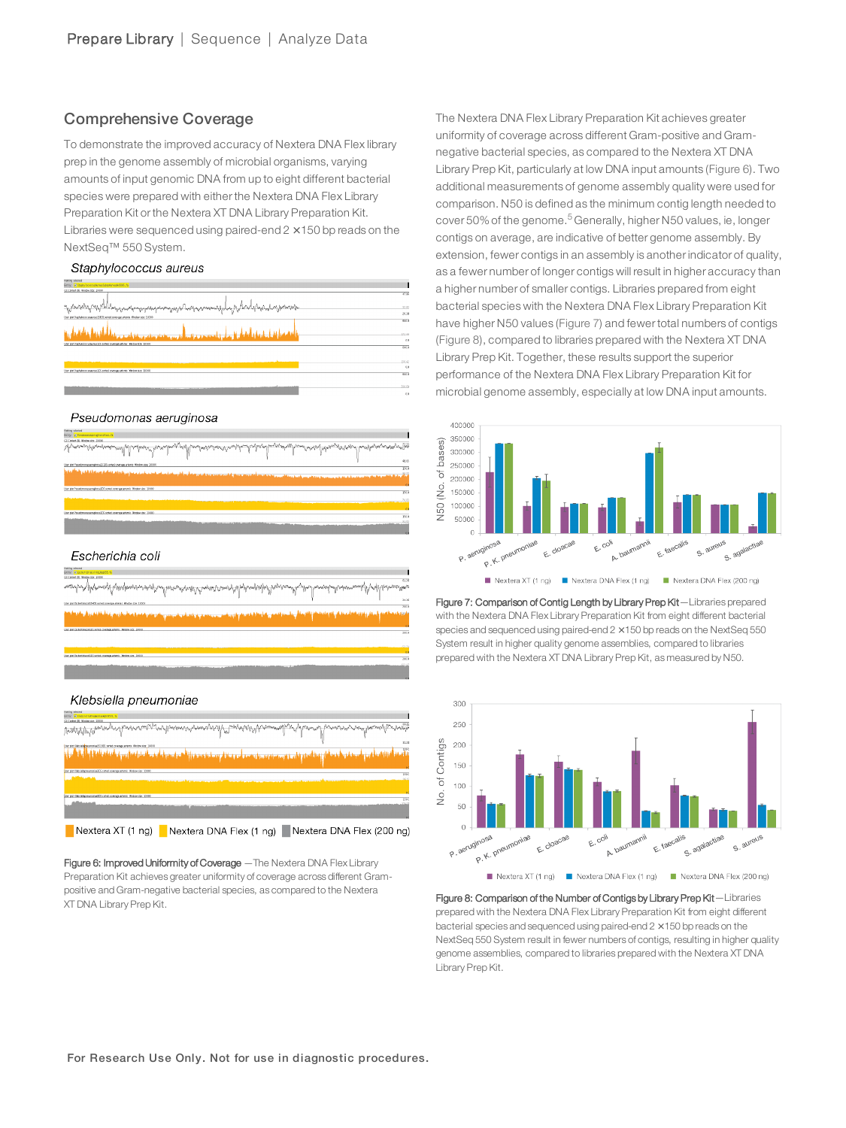### Comprehensive Coverage

To demonstrate the improved accuracy of Nextera DNA Flex library prep in the genome assembly of microbial organisms, varying amounts of input genomic DNA from up to eight different bacterial species were prepared with either the Nextera DNA Flex Library Preparation Kit or the Nextera XT DNA Library Preparation Kit. Libraries were sequenced using paired-end  $2 \times 150$  bp reads on the NextSeq™ 550 System.

### Staphylococcus aureus

| <b>Softing Grieged</b><br>Eitns: RStatiskorossAnvaSitsiAnvasRS06.fa                                  |                |
|------------------------------------------------------------------------------------------------------|----------------|
| CC Content IN: Window size: 10004                                                                    |                |
|                                                                                                      | 47.86          |
|                                                                                                      |                |
| = <sub>ال</sub> إناصة:المراجورةالمالميربى.ميرسيبرميرسيم.ميرسيسيريوريتاكسموسيستريل.م                  | 32.83          |
|                                                                                                      |                |
| User plot Staphulococoureurs/1905 serted coverage amenis. Nindow size: 10080-                        | 28.55          |
|                                                                                                      | caso           |
|                                                                                                      |                |
| طسميليين بالمقطعة الرجالى<br>بالراقيعية عنافات<br>الروابيون دي هم <mark>او رسوم نيز پر بنيج ب</mark> | 172.44         |
|                                                                                                      | 0.0            |
| User plot Staphulococoursemus LDS seriest coverage arteries Window size: 18000                       |                |
|                                                                                                      | 6800           |
|                                                                                                      |                |
|                                                                                                      |                |
|                                                                                                      | 258.42<br>QQ   |
| User plot Staph Accords arrows LIS served coverage arteries. Window size: 18000.                     |                |
|                                                                                                      | caso           |
|                                                                                                      |                |
| the contract of the contract of the contract of                                                      | <b>ALC: NO</b> |

### Pseudomonas aeruginosa



| Nothing selected                                                                                                    |  |
|---------------------------------------------------------------------------------------------------------------------|--|
| Ditry: Esperioristologyptts.rs                                                                                      |  |
| CC Carrier (N) Whoow Jize: 12004                                                                                    |  |
| naarloo Yihrooyii liitiipayoo irooti ad haraariisti Ampirisam Alufumpidol Paysaad Liba haraabahasamaadi Aqbibahaasa |  |
| User plot Elichartshipped 25405 seried soverage aments Window size: \$6000.                                         |  |
|                                                                                                                     |  |
| تتشغلب والمتشامسة والمتعز والمتأر واحتلامها الأقادي المتسمعة والمتحدث والتكاس والمتحادث والمارية فتناول والشامر     |  |

## Klebsiella pneumoniae **DUMAANA** للقطعين وأستقنع وأنقطان زعقاه ترقاهم وتصبيح ومتنا وتستطيع وتنقي ومقتمتها وأنهم أتعاد أنقص أتعلل فتناقص أوالتقارض Nextera XT (1 ng) Nextera DNA Flex (1 ng) Nextera DNA Flex (200 ng)

<span id="page-2-0"></span>Figure 6: Improved Uniformity of Coverage - The Nextera DNA Flex Library Preparation Kit achieves greater uniformity of coverage across different Grampositive and Gram-negative bacterial species, as compared to the Nextera XT DNA Library Prep Kit.

The Nextera DNA Flex Library Preparation Kit achieves greater uniformity of coverage across different Gram-positive and Gramnegative bacterial species, as compared to the Nextera XT DNA Library Prep Kit, particularly at low DNA input amounts ([Figure 6](#page-2-0)). Two additional measurements of genome assembly quality were used for comparison. N50 is defined as the minimum contig length needed to cover [5](#page-3-3)0% of the genome.<sup>5</sup> Generally, higher N50 values, ie, longer contigs on average, are indicative of better genome assembly. By extension, fewer contigs in an assembly is another indicator of quality, as a fewer number of longer contigs will result in higher accuracy than a higher number of smaller contigs. Libraries prepared from eight bacterial species with the Nextera DNA Flex Library Preparation Kit have higher N50 values ([Figure 7\)](#page-2-1) and fewer total numbers of contigs ([Figure 8\)](#page-2-2), compared to libraries prepared with the Nextera XT DNA Library Prep Kit. Together, these results support the superior performance of the Nextera DNA Flex Library Preparation Kit for microbial genome assembly, especially at low DNA input amounts.



<span id="page-2-1"></span>Figure 7: Comparison of Contig Length by Library Prep Kit-Libraries prepared with the Nextera DNA Flex Library Preparation Kit from eight different bacterial species and sequenced using paired-end  $2 \times 150$  bp reads on the NextSeq 550 System result in higher quality genome assemblies, compared to libraries prepared with the Nextera XT DNA Library Prep Kit, as measured by N50.



<span id="page-2-2"></span>Figure 8: Comparison of the Number of Contigs by Library Prep Kit-Libraries prepared with the Nextera DNA Flex Library Preparation Kit from eight different bacterial species and sequenced using paired-end  $2 \times 150$  bp reads on the NextSeq 550 System result in fewer numbers of contigs, resulting in higher quality genome assemblies, compared to libraries prepared with the Nextera XT DNA Library Prep Kit.